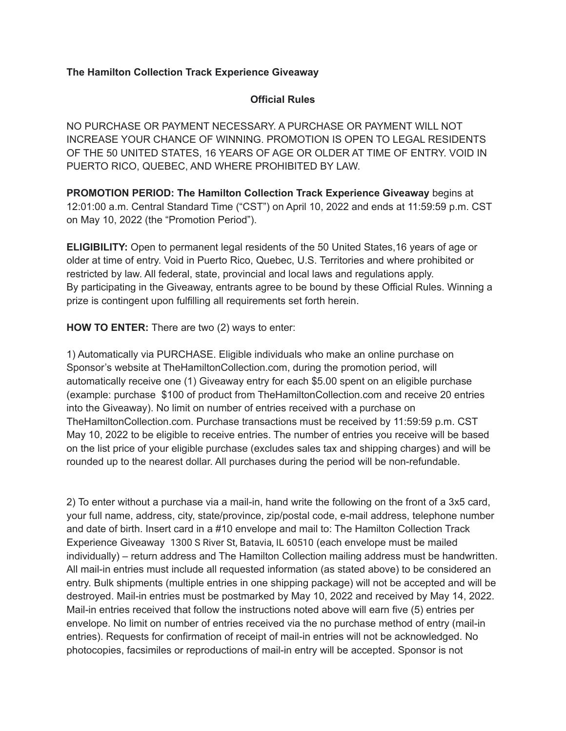## **The Hamilton Collection Track Experience Giveaway**

## **Official Rules**

NO PURCHASE OR PAYMENT NECESSARY. A PURCHASE OR PAYMENT WILL NOT INCREASE YOUR CHANCE OF WINNING. PROMOTION IS OPEN TO LEGAL RESIDENTS OF THE 50 UNITED STATES, 16 YEARS OF AGE OR OLDER AT TIME OF ENTRY. VOID IN PUERTO RICO, QUEBEC, AND WHERE PROHIBITED BY LAW.

**PROMOTION PERIOD: The Hamilton Collection Track Experience Giveaway** begins at 12:01:00 a.m. Central Standard Time ("CST") on April 10, 2022 and ends at 11:59:59 p.m. CST on May 10, 2022 (the "Promotion Period").

**ELIGIBILITY:** Open to permanent legal residents of the 50 United States,16 years of age or older at time of entry. Void in Puerto Rico, Quebec, U.S. Territories and where prohibited or restricted by law. All federal, state, provincial and local laws and regulations apply. By participating in the Giveaway, entrants agree to be bound by these Official Rules. Winning a prize is contingent upon fulfilling all requirements set forth herein.

**HOW TO ENTER:** There are two (2) ways to enter:

1) Automatically via PURCHASE. Eligible individuals who make an online purchase on Sponsor's website at TheHamiltonCollection.com, during the promotion period, will automatically receive one (1) Giveaway entry for each \$5.00 spent on an eligible purchase (example: purchase \$100 of product from TheHamiltonCollection.com and receive 20 entries into the Giveaway). No limit on number of entries received with a purchase on TheHamiltonCollection.com. Purchase transactions must be received by 11:59:59 p.m. CST May 10, 2022 to be eligible to receive entries. The number of entries you receive will be based on the list price of your eligible purchase (excludes sales tax and shipping charges) and will be rounded up to the nearest dollar. All purchases during the period will be non-refundable.

2) To enter without a purchase via a mail-in, hand write the following on the front of a 3x5 card, your full name, address, city, state/province, zip/postal code, e-mail address, telephone number and date of birth. Insert card in a #10 envelope and mail to: The Hamilton Collection Track Experience Giveaway 1300 S River St, Batavia, IL 60510 (each envelope must be mailed individually) – return address and The Hamilton Collection mailing address must be handwritten. All mail-in entries must include all requested information (as stated above) to be considered an entry. Bulk shipments (multiple entries in one shipping package) will not be accepted and will be destroyed. Mail-in entries must be postmarked by May 10, 2022 and received by May 14, 2022. Mail-in entries received that follow the instructions noted above will earn five (5) entries per envelope. No limit on number of entries received via the no purchase method of entry (mail-in entries). Requests for confirmation of receipt of mail-in entries will not be acknowledged. No photocopies, facsimiles or reproductions of mail-in entry will be accepted. Sponsor is not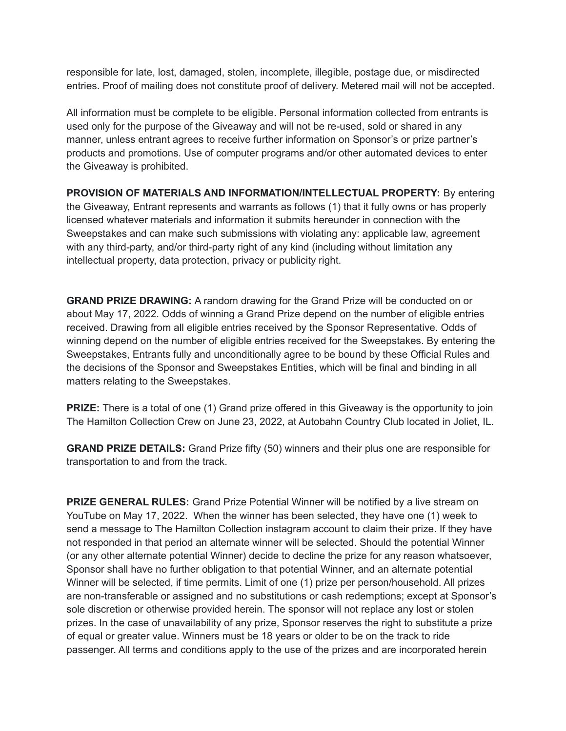responsible for late, lost, damaged, stolen, incomplete, illegible, postage due, or misdirected entries. Proof of mailing does not constitute proof of delivery. Metered mail will not be accepted.

All information must be complete to be eligible. Personal information collected from entrants is used only for the purpose of the Giveaway and will not be re-used, sold or shared in any manner, unless entrant agrees to receive further information on Sponsor's or prize partner's products and promotions. Use of computer programs and/or other automated devices to enter the Giveaway is prohibited.

**PROVISION OF MATERIALS AND INFORMATION/INTELLECTUAL PROPERTY:** By entering the Giveaway, Entrant represents and warrants as follows (1) that it fully owns or has properly licensed whatever materials and information it submits hereunder in connection with the Sweepstakes and can make such submissions with violating any: applicable law, agreement with any third-party, and/or third-party right of any kind (including without limitation any intellectual property, data protection, privacy or publicity right.

**GRAND PRIZE DRAWING:** A random drawing for the Grand Prize will be conducted on or about May 17, 2022. Odds of winning a Grand Prize depend on the number of eligible entries received. Drawing from all eligible entries received by the Sponsor Representative. Odds of winning depend on the number of eligible entries received for the Sweepstakes. By entering the Sweepstakes, Entrants fully and unconditionally agree to be bound by these Official Rules and the decisions of the Sponsor and Sweepstakes Entities, which will be final and binding in all matters relating to the Sweepstakes.

**PRIZE:** There is a total of one (1) Grand prize offered in this Giveaway is the opportunity to join The Hamilton Collection Crew on June 23, 2022, at Autobahn Country Club located in Joliet, IL.

**GRAND PRIZE DETAILS:** Grand Prize fifty (50) winners and their plus one are responsible for transportation to and from the track.

**PRIZE GENERAL RULES:** Grand Prize Potential Winner will be notified by a live stream on YouTube on May 17, 2022. When the winner has been selected, they have one (1) week to send a message to The Hamilton Collection instagram account to claim their prize. If they have not responded in that period an alternate winner will be selected. Should the potential Winner (or any other alternate potential Winner) decide to decline the prize for any reason whatsoever, Sponsor shall have no further obligation to that potential Winner, and an alternate potential Winner will be selected, if time permits. Limit of one (1) prize per person/household. All prizes are non-transferable or assigned and no substitutions or cash redemptions; except at Sponsor's sole discretion or otherwise provided herein. The sponsor will not replace any lost or stolen prizes. In the case of unavailability of any prize, Sponsor reserves the right to substitute a prize of equal or greater value. Winners must be 18 years or older to be on the track to ride passenger. All terms and conditions apply to the use of the prizes and are incorporated herein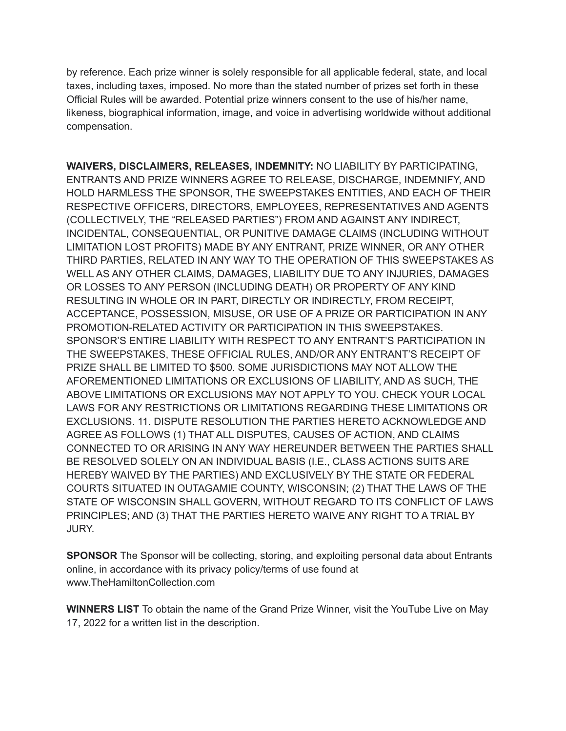by reference. Each prize winner is solely responsible for all applicable federal, state, and local taxes, including taxes, imposed. No more than the stated number of prizes set forth in these Official Rules will be awarded. Potential prize winners consent to the use of his/her name, likeness, biographical information, image, and voice in advertising worldwide without additional compensation.

**WAIVERS, DISCLAIMERS, RELEASES, INDEMNITY:** NO LIABILITY BY PARTICIPATING, ENTRANTS AND PRIZE WINNERS AGREE TO RELEASE, DISCHARGE, INDEMNIFY, AND HOLD HARMLESS THE SPONSOR, THE SWEEPSTAKES ENTITIES, AND EACH OF THEIR RESPECTIVE OFFICERS, DIRECTORS, EMPLOYEES, REPRESENTATIVES AND AGENTS (COLLECTIVELY, THE "RELEASED PARTIES") FROM AND AGAINST ANY INDIRECT, INCIDENTAL, CONSEQUENTIAL, OR PUNITIVE DAMAGE CLAIMS (INCLUDING WITHOUT LIMITATION LOST PROFITS) MADE BY ANY ENTRANT, PRIZE WINNER, OR ANY OTHER THIRD PARTIES, RELATED IN ANY WAY TO THE OPERATION OF THIS SWEEPSTAKES AS WELL AS ANY OTHER CLAIMS, DAMAGES, LIABILITY DUE TO ANY INJURIES, DAMAGES OR LOSSES TO ANY PERSON (INCLUDING DEATH) OR PROPERTY OF ANY KIND RESULTING IN WHOLE OR IN PART, DIRECTLY OR INDIRECTLY, FROM RECEIPT, ACCEPTANCE, POSSESSION, MISUSE, OR USE OF A PRIZE OR PARTICIPATION IN ANY PROMOTION-RELATED ACTIVITY OR PARTICIPATION IN THIS SWEEPSTAKES. SPONSOR'S ENTIRE LIABILITY WITH RESPECT TO ANY ENTRANT'S PARTICIPATION IN THE SWEEPSTAKES, THESE OFFICIAL RULES, AND/OR ANY ENTRANT'S RECEIPT OF PRIZE SHALL BE LIMITED TO \$500. SOME JURISDICTIONS MAY NOT ALLOW THE AFOREMENTIONED LIMITATIONS OR EXCLUSIONS OF LIABILITY, AND AS SUCH, THE ABOVE LIMITATIONS OR EXCLUSIONS MAY NOT APPLY TO YOU. CHECK YOUR LOCAL LAWS FOR ANY RESTRICTIONS OR LIMITATIONS REGARDING THESE LIMITATIONS OR EXCLUSIONS. 11. DISPUTE RESOLUTION THE PARTIES HERETO ACKNOWLEDGE AND AGREE AS FOLLOWS (1) THAT ALL DISPUTES, CAUSES OF ACTION, AND CLAIMS CONNECTED TO OR ARISING IN ANY WAY HEREUNDER BETWEEN THE PARTIES SHALL BE RESOLVED SOLELY ON AN INDIVIDUAL BASIS (I.E., CLASS ACTIONS SUITS ARE HEREBY WAIVED BY THE PARTIES) AND EXCLUSIVELY BY THE STATE OR FEDERAL COURTS SITUATED IN OUTAGAMIE COUNTY, WISCONSIN; (2) THAT THE LAWS OF THE STATE OF WISCONSIN SHALL GOVERN, WITHOUT REGARD TO ITS CONFLICT OF LAWS PRINCIPLES; AND (3) THAT THE PARTIES HERETO WAIVE ANY RIGHT TO A TRIAL BY JURY.

**SPONSOR** The Sponsor will be collecting, storing, and exploiting personal data about Entrants online, in accordance with its privacy policy/terms of use found at www.TheHamiltonCollection.com

**WINNERS LIST** To obtain the name of the Grand Prize Winner, visit the YouTube Live on May 17, 2022 for a written list in the description.